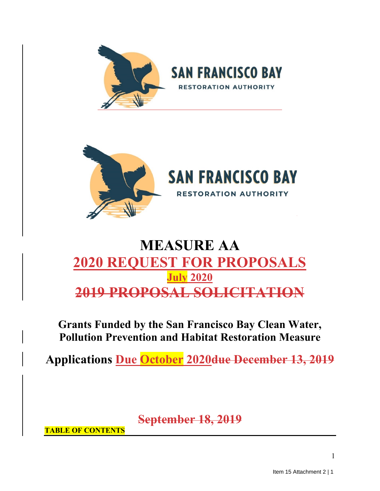



# **MEASURE AA 2020 REQUEST FOR PROPOSALS July 2020 2019 PROPOSAL SOLICITATION**

**Grants Funded by the San Francisco Bay Clean Water, Pollution Prevention and Habitat Restoration Measure**

**Applications Due October 2020due December 13, 2019**

**September 18, 2019**

**TABLE OF CONTENTS**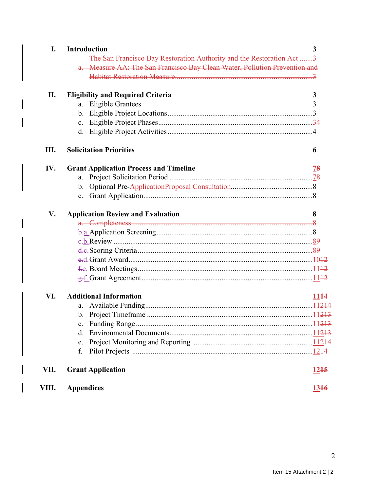| I.    | <b>Introduction</b>                                                        | 3           |
|-------|----------------------------------------------------------------------------|-------------|
|       | The San Francisco Bay Restoration Authority and the Restoration Act 3      |             |
|       | a. Measure AA: The San Francisco Bay Clean Water, Pollution Prevention and |             |
|       |                                                                            |             |
| II.   | <b>Eligibility and Required Criteria</b>                                   | 3           |
|       | <b>Eligible Grantees</b><br>a.                                             | 3           |
|       | b.                                                                         |             |
|       | $c_{\cdot}$                                                                |             |
|       |                                                                            |             |
| Ш.    | <b>Solicitation Priorities</b>                                             | 6           |
| IV.   | <b>Grant Application Process and Timeline</b>                              | 78          |
|       | a.                                                                         |             |
|       |                                                                            |             |
|       |                                                                            |             |
| V.    | <b>Application Review and Evaluation</b>                                   | 8           |
|       |                                                                            |             |
|       |                                                                            |             |
|       |                                                                            |             |
|       |                                                                            |             |
|       |                                                                            |             |
|       |                                                                            |             |
|       |                                                                            |             |
| VI.   | <b>Additional Information</b>                                              | 1144        |
|       | a.                                                                         |             |
|       |                                                                            |             |
|       |                                                                            |             |
|       | d.                                                                         |             |
|       | e.                                                                         |             |
|       | f.                                                                         |             |
| VII.  | <b>Grant Application</b>                                                   | <u>1245</u> |
| VIII. | <b>Appendices</b>                                                          | 1346        |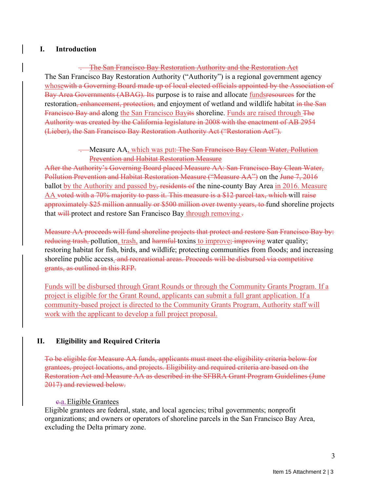### **I. Introduction**

# . The San Francisco Bay Restoration Authority and the Restoration Act The San Francisco Bay Restoration Authority ("Authority") is a regional government agency whose with a Governing Board made up of local elected officials appointed by the Association of Bay Area Governments (ABAG). Its purpose is to raise and allocate *fundsresources* for the restoration, enhancement, protection, and enjoyment of wetland and wildlife habitat in the San Francisco Bay and along the San Francisco Bayits shoreline. Funds are raised through The Authority was created by the California legislature in 2008 with the enactment of AB 2954 (Lieber), the San Francisco Bay Restoration Authority Act ("Restoration Act").

### . Measure AA, which was put: The San Francisco Bay Clean Water, Pollution Prevention and Habitat Restoration Measure

After the Authority's Governing Board placed Measure AA: San Francisco Bay Clean Water, Pollution Prevention and Habitat Restoration Measure ("Measure AA") on the June 7, 2016 ballot by the Authority and passed by, residents of the nine-county Bay Area in 2016. Measure AA voted with a 70% majority to pass it. This measure is a \$12 parcel tax, which will raise approximately \$25 million annually or \$500 million over twenty years, to fund shoreline projects that will-protect and restore San Francisco Bay through removing -

Measure AA proceeds will fund shoreline projects that protect and restore San Francisco Bay by: reducing trash, pollution, trash, and harmful toxins to improve; improving water quality; restoring habitat for fish, birds, and wildlife; protecting communities from floods; and increasing shoreline public access. and recreational areas. Proceeds will be disbursed via competitive grants, as outlined in this RFP.

Funds will be disbursed through Grant Rounds or through the Community Grants Program. If a project is eligible for the Grant Round, applicants can submit a full grant application. If a community-based project is directed to the Community Grants Program, Authority staff will work with the applicant to develop a full project proposal.

# **II. Eligibility and Required Criteria**

To be eligible for Measure AA funds, applicants must meet the eligibility criteria below for grantees, project locations, and projects. Eligibility and required criteria are based on the Restoration Act and Measure AA as described in the SFBRA Grant Program Guidelines (June 2017) and reviewed below.

### c.a.Eligible Grantees

Eligible grantees are federal, state, and local agencies; tribal governments; nonprofit organizations; and owners or operators of shoreline parcels in the San Francisco Bay Area, excluding the Delta primary zone.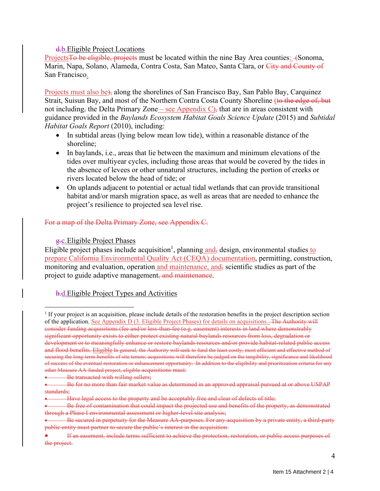### d.b.Eligible Project Locations

Projects To be eligible, projects must be located within the nine Bay Area counties:  $\epsilon$ Sonoma, Marin, Napa, Solano, Alameda, Contra Costa, San Mateo, Santa Clara, or City and County of San Francisco.

Projects must also be<sub>b</sub>, along the shorelines of San Francisco Bay, San Pablo Bay, Carquinez Strait, Suisun Bay, and most of the Northern Contra Costa County Shoreline (to the edge of, but not including, the Delta Primary Zone – see Appendix C), that are in areas consistent with guidance provided in the *Baylands Ecosystem Habitat Goals Science Update* (2015) and *Subtidal Habitat Goals Report* (2010), including:

- In subtidal areas (lying below mean low tide), within a reasonable distance of the shoreline;
- In baylands, i.e., areas that lie between the maximum and minimum elevations of the tides over multiyear cycles, including those areas that would be covered by the tides in the absence of levees or other unnatural structures, including the portion of creeks or rivers located below the head of tide; or
- On uplands adjacent to potential or actual tidal wetlands that can provide transitional habitat and/or marsh migration space, as well as areas that are needed to enhance the project's resilience to projected sea level rise.

### For a map of the Delta Primary Zone, see Appendix C.

#### g.c. Eligible Project Phases

Eligible project phases include acquisition<sup>1</sup>, planning and, design, environmental studies to prepare California Environmental Quality Act (CEQA) documentation, permitting, construction, monitoring and evaluation, operation and maintenance, and, scientific studies as part of the project to guide adaptive management, and maintenance.

# **h.d. Eligible Project Types and Activities**

<sup>&</sup>lt;sup>1</sup> If your project is an acquisition, please include details of the restoration benefits in the project description section of the application. See Appendix D (3. Eligible Project Phases) for details on acquisitions. The Authority will consider funding acquisitions (fee and/or less-than-fee (e.g. easement) interests in land where demonstrably significant opportunity exists to either protect existing natural baylands resources from loss, degradation or development or to meaningfully enhance or restore baylands resources and/or provide habitat-related public access and flood benefits. Eligible In general, the Authority will seek to fund the least costly, most efficient and effective method of securing the long-term benefits of site tenure; acquisitions will therefore be judged on the tangibility, significance and likelihood of success of the eventual restoration or enhancement opportunity. In addition to the eligibility and prioritization criteria for any other Measure AA-funded project, eligible acquisitions must:

**Be transacted with willing sellers;** 

<sup>•</sup> Be for no more than fair market value as determined in an approved appraisal pursued at or above USPAP standards;

<sup>•</sup> Have legal access to the property and be acceptably free and clear of defects of title;

<sup>•</sup> Be free of contamination that could impact the projected use and benefits of the property, as demonstrated through a Phase I environmental assessment or higher-level site analysis;

<sup>•</sup> Be secured in perpetuity for the Measure AA-purposes. For any acquisition by a private entity, a third-party public entity must partner to secure the public's interest in the acquisition.

<sup>•</sup> If an easement, include terms sufficient to achieve the protection, restoration, or public access purposes of the project.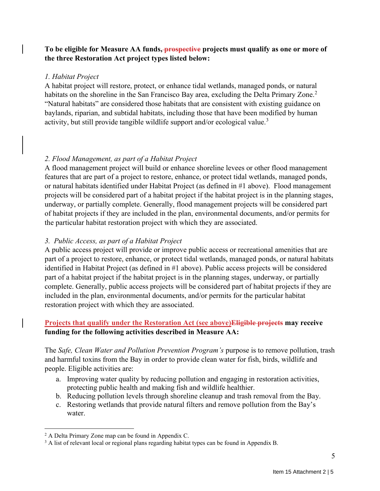# **To be eligible for Measure AA funds, prospective projects must qualify as one or more of the three Restoration Act project types listed below:**

### *1. Habitat Project*

A habitat project will restore, protect, or enhance tidal wetlands, managed ponds, or natural habitats on the shoreline in the San Francisco Bay area, excluding the Delta Primary Zone.<sup>2</sup> "Natural habitats" are considered those habitats that are consistent with existing guidance on baylands, riparian, and subtidal habitats, including those that have been modified by human activity, but still provide tangible wildlife support and/or ecological value.<sup>3</sup>

# *2. Flood Management, as part of a Habitat Project*

A flood management project will build or enhance shoreline levees or other flood management features that are part of a project to restore, enhance, or protect tidal wetlands, managed ponds, or natural habitats identified under Habitat Project (as defined in #1 above). Flood management projects will be considered part of a habitat project if the habitat project is in the planning stages, underway, or partially complete. Generally, flood management projects will be considered part of habitat projects if they are included in the plan, environmental documents, and/or permits for the particular habitat restoration project with which they are associated.

### *3. Public Access, as part of a Habitat Project*

A public access project will provide or improve public access or recreational amenities that are part of a project to restore, enhance, or protect tidal wetlands, managed ponds, or natural habitats identified in Habitat Project (as defined in #1 above). Public access projects will be considered part of a habitat project if the habitat project is in the planning stages, underway, or partially complete. Generally, public access projects will be considered part of habitat projects if they are included in the plan, environmental documents, and/or permits for the particular habitat restoration project with which they are associated.

# **Projects that qualify under the Restoration Act (see above)Eligible projects may receive funding for the following activities described in Measure AA:**

The *Safe, Clean Water and Pollution Prevention Program's* purpose is to remove pollution, trash and harmful toxins from the Bay in order to provide clean water for fish, birds, wildlife and people. Eligible activities are:

- a. Improving water quality by reducing pollution and engaging in restoration activities, protecting public health and making fish and wildlife healthier.
- b. Reducing pollution levels through shoreline cleanup and trash removal from the Bay.
- c. Restoring wetlands that provide natural filters and remove pollution from the Bay's water.

<sup>2</sup> A Delta Primary Zone map can be found in Appendix C.

<sup>&</sup>lt;sup>3</sup> A list of relevant local or regional plans regarding habitat types can be found in Appendix B.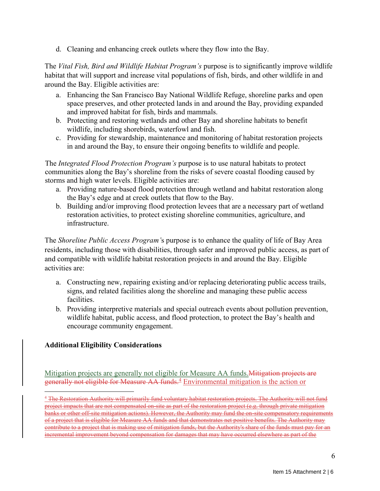d. Cleaning and enhancing creek outlets where they flow into the Bay.

The *Vital Fish, Bird and Wildlife Habitat Program's* purpose is to significantly improve wildlife habitat that will support and increase vital populations of fish, birds, and other wildlife in and around the Bay. Eligible activities are:

- a. Enhancing the San Francisco Bay National Wildlife Refuge, shoreline parks and open space preserves, and other protected lands in and around the Bay, providing expanded and improved habitat for fish, birds and mammals.
- b. Protecting and restoring wetlands and other Bay and shoreline habitats to benefit wildlife, including shorebirds, waterfowl and fish.
- c. Providing for stewardship, maintenance and monitoring of habitat restoration projects in and around the Bay, to ensure their ongoing benefits to wildlife and people.

The *Integrated Flood Protection Program's* purpose is to use natural habitats to protect communities along the Bay's shoreline from the risks of severe coastal flooding caused by storms and high water levels. Eligible activities are:

- a. Providing nature-based flood protection through wetland and habitat restoration along the Bay's edge and at creek outlets that flow to the Bay.
- b. Building and/or improving flood protection levees that are a necessary part of wetland restoration activities, to protect existing shoreline communities, agriculture, and infrastructure.

The *Shoreline Public Access Program'*s purpose is to enhance the quality of life of Bay Area residents, including those with disabilities, through safer and improved public access, as part of and compatible with wildlife habitat restoration projects in and around the Bay. Eligible activities are:

- a. Constructing new, repairing existing and/or replacing deteriorating public access trails, signs, and related facilities along the shoreline and managing these public access facilities.
- b. Providing interpretive materials and special outreach events about pollution prevention, wildlife habitat, public access, and flood protection, to protect the Bay's health and encourage community engagement.

# **Additional Eligibility Considerations**

Mitigation projects are generally not eligible for Measure AA funds. Mitigation projects are generally not eligible for Measure AA funds.<sup>4</sup> Environmental mitigation is the action or

<sup>&</sup>lt;sup>4</sup> The Restoration Authority will primarily fund voluntary habitat restoration projects. The Authority will not fund project impacts that are not compensated on-site as part of the restoration project (e.g. through private mitigation banks or other off-site mitigation actions). However, the Authority may fund the on-site compensatory requirements of a project that is eligible for Measure AA funds and that demonstrates net positive benefits. The Authority may contribute to a project that is making use of mitigation funds, but the Authority's share of the funds must pay for an incremental improvement beyond compensation for damages that may have occurred elsewhere as part of the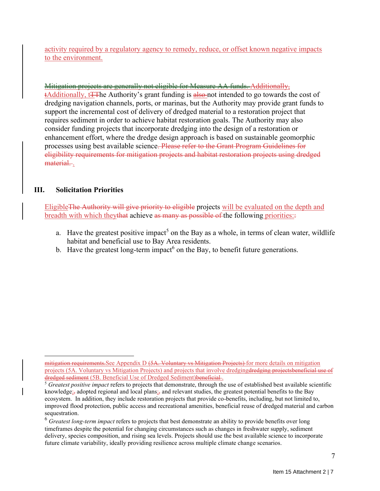activity required by a regulatory agency to remedy, reduce, or offset known negative impacts to the environment.

Mitigation projects are generally not eligible for Measure AA funds. Additionally, tAdditionally, tTThe Authority's grant funding is also not intended to go towards the cost of dredging navigation channels, ports, or marinas, but the Authority may provide grant funds to support the incremental cost of delivery of dredged material to a restoration project that requires sediment in order to achieve habitat restoration goals. The Authority may also consider funding projects that incorporate dredging into the design of a restoration or enhancement effort, where the dredge design approach is based on sustainable geomorphic processes using best available science. Please refer to the Grant Program Guidelines for eligibility requirements for mitigation projects and habitat restoration projects using dredged material...

# **III. Solicitation Priorities**

EligibleThe Authority will give priority to eligible projects will be evaluated on the depth and breadth with which theythat achieve as many as possible of the following priorities:

- a. Have the greatest positive impact<sup>5</sup> on the Bay as a whole, in terms of clean water, wildlife habitat and beneficial use to Bay Area residents.
- b. Have the greatest long-term impact<sup>6</sup> on the Bay, to benefit future generations.

mitigation requirements.See Appendix D (5A. Voluntary vs Mitigation Projects) for more details on mitigation projects (5A. Voluntary vs Mitigation Projects) and projects that involve dredgingdredging projectsbeneficial use of dredged sediment (5B. Beneficial Use of Dredged Sediment)beneficial.

<sup>5</sup> *Greatest positive impact* refers to projects that demonstrate, through the use of established best available scientific knowledge<sub>is</sub> adopted regional and local plans<sub>is</sub> and relevant studies, the greatest potential benefits to the Bay ecosystem. In addition, they include restoration projects that provide co-benefits, including, but not limited to, improved flood protection, public access and recreational amenities, beneficial reuse of dredged material and carbon sequestration.

<sup>6</sup> *Greatest long-term impact* refers to projects that best demonstrate an ability to provide benefits over long timeframes despite the potential for changing circumstances such as changes in freshwater supply, sediment delivery, species composition, and rising sea levels. Projects should use the best available science to incorporate future climate variability, ideally providing resilience across multiple climate change scenarios.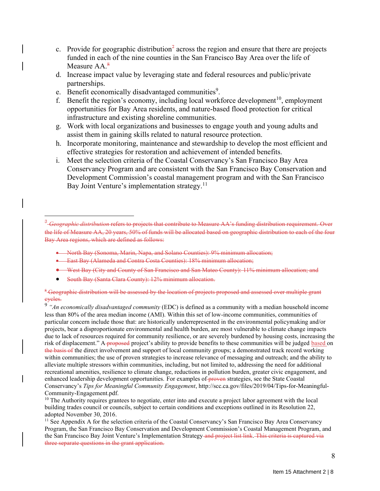- c. Provide for geographic distribution<sup>7</sup> across the region and ensure that there are projects funded in each of the nine counties in the San Francisco Bay Area over the life of Measure  $AA$ <sup>8</sup>
- d. Increase impact value by leveraging state and federal resources and public/private partnerships.
- e. Benefit economically disadvantaged communities<sup>9</sup>.
- f. Benefit the region's economy, including local workforce development<sup>10</sup>, employment opportunities for Bay Area residents, and nature-based flood protection for critical infrastructure and existing shoreline communities.
- g. Work with local organizations and businesses to engage youth and young adults and assist them in gaining skills related to natural resource protection.
- h. Incorporate monitoring, maintenance and stewardship to develop the most efficient and effective strategies for restoration and achievement of intended benefits.
- i. Meet the selection criteria of the Coastal Conservancy's San Francisco Bay Area Conservancy Program and are consistent with the San Francisco Bay Conservation and Development Commission's coastal management program and with the San Francisco Bay Joint Venture's implementation strategy.<sup>11</sup>

- North Bay (Sonoma, Marin, Napa, and Solano Counties): 9% minimum allocation;
- East Bay (Alameda and Contra Costa Counties): 18% minimum allocation;
- West Bay (City and County of San Francisco and San Mateo County): 11% minimum allocation; and
- South Bay (Santa Clara County): 12% minimum allocation.

<sup>8</sup> Geographic distribution will be assessed by the location of projects proposed and assessed over multiple grant cycles.

9 *"An economically disadvantaged community* (EDC) is defined as a community with a median household income less than 80% of the area median income (AMI). Within this set of low-income communities, communities of particular concern include those that: are historically underrepresented in the environmental policymaking and/or projects, bear a disproportionate environmental and health burden, are most vulnerable to climate change impacts due to lack of resources required for community resilience, or are severely burdened by housing costs, increasing the risk of displacement." A proposed project's ability to provide benefits to these communities will be judged based on the basis of the direct involvement and support of local community groups; a demonstrated track record working within communities; the use of proven strategies to increase relevance of messaging and outreach; and the ability to alleviate multiple stressors within communities, including, but not limited to, addressing the need for additional recreational amenities, resilience to climate change, reductions in pollution burden, greater civic engagement, and enhanced leadership development opportunities. For examples of proven strategies, see the State Coastal Conservancy's *Tips for Meaningful Community Engagement*, http://scc.ca.gov/files/2019/04/Tips-for-Meaningful-Community-Engagement.pdf.

 $10$  The Authority requires grantees to negotiate, enter into and execute a project labor agreement with the local building trades council or councils, subject to certain conditions and exceptions outlined in its Resolution 22, adopted November 30, 2016.

 $<sup>11</sup>$  See Appendix A for the selection criteria of the Coastal Conservancy's San Francisco Bay Area Conservancy</sup> Program, the San Francisco Bay Conservation and Development Commission's Coastal Management Program, and the San Francisco Bay Joint Venture's Implementation Strategy and project list link. This criteria is captured via three separate questions in the grant application.

<sup>7</sup> *Geographic distribution* refers to projects that contribute to Measure AA's funding distribution requirement. Over the life of Measure AA, 20 years, 50% of funds will be allocated based on geographic distribution to each of the four Bay Area regions, which are defined as follows: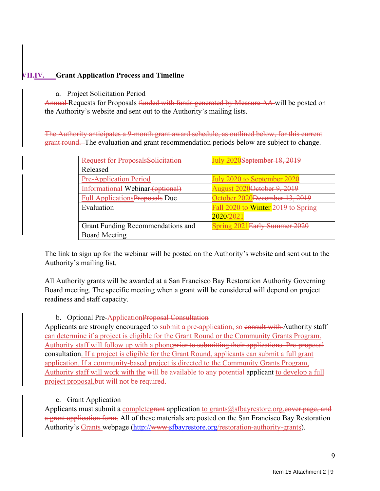# **VII.IV. Grant Application Process and Timeline**

### a. Project Solicitation Period

Annual Requests for Proposals funded with funds generated by Measure AA will be posted on the Authority's website and sent out to the Authority's mailing lists.

The Authority anticipates a 9-month grant award schedule, as outlined below, for this current grant round. The evaluation and grant recommendation periods below are subject to change.

| <b>Request for ProposalsSolicitation</b> | July 2020September 18, 2019        |
|------------------------------------------|------------------------------------|
| Released                                 |                                    |
| <b>Pre-Application Period</b>            | July 2020 to September 2020        |
| Informational Webinar (optional)         | <b>August 2020</b> October 9, 2019 |
| <b>Full Applications Proposals Due</b>   | October 2020 December 13, 2019     |
| Evaluation                               | Fall 2020 to Winter 2019 to Spring |
|                                          | 2020/2021                          |
| Grant Funding Recommendations and        | Spring 2021 Early Summer 2020      |
| <b>Board Meeting</b>                     |                                    |

The link to sign up for the webinar will be posted on the Authority's website and sent out to the Authority's mailing list.

All Authority grants will be awarded at a San Francisco Bay Restoration Authority Governing Board meeting. The specific meeting when a grant will be considered will depend on project readiness and staff capacity.

### b. Optional Pre-ApplicationProposal Consultation

Applicants are strongly encouraged to submit a pre-application, so consult with Authority staff can determine if a project is eligible for the Grant Round or the Community Grants Program. Authority staff will follow up with a phoneprior to submitting their applications. Pre-proposal consultation. If a project is eligible for the Grant Round, applicants can submit a full grant application. If a community-based project is directed to the Community Grants Program, Authority staff will work with the will be available to any potential applicant to develop a full project proposal.but will not be required.

# c. Grant Application

Applicants must submit a completegrant application to [grants@sfbayrestore.org.](mailto:grants@sfbayrestore.org)eover page, and a grant application form. All of these materials are posted on the San Francisco Bay Restoration Authority's Grants webpage [\(http://www.sfbayrestore.org/restoration-authority-grants\)](http://sfbayrestore.org/restoration-authority-grants).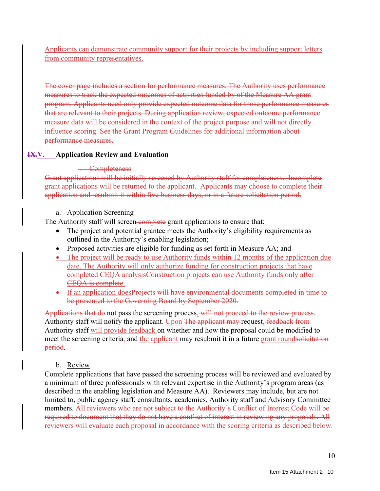Applicants can demonstrate community support for their projects by including support letters from community representatives.

The cover page includes a section for performance measures. The Authority uses performance measures to track the expected outcomes of activities funded by of the Measure AA grant program. Applicants need only provide expected outcome data for those performance measures that are relevant to their projects. During application review, expected outcome performance measure data will be considered in the context of the project purpose and will not directly influence scoring. See the Grant Program Guidelines for additional information about performance measures.

# **IX.V. Application Review and Evaluation**

### . Completeness

Grant applications will be initially screened by Authority staff for completeness. Incomplete grant applications will be returned to the applicant. Applicants may choose to complete their application and resubmit it within five business days, or in a future solicitation period.

# a. Application Screening

The Authority staff will screen-complete grant applications to ensure that:

- The project and potential grantee meets the Authority's eligibility requirements as outlined in the Authority's enabling legislation;
- Proposed activities are eligible for funding as set forth in Measure AA; and
- The project will be ready to use Authority funds within 12 months of the application due date. The Authority will only authorize funding for construction projects that have completed CEQA analysisConstruction projects can use Authority funds only after CEQA is complete.
- If an application doesProjects will have environmental documents completed in time to be presented to the Governing Board by September 2020.

Applications that do not pass the screening process, will not proceed to the review process. Authority staff will notify the applicant. Upon The applicant may request, feedback from Authority staff will provide feedback on whether and how the proposal could be modified to meet the screening criteria, and the applicant may resubmit it in a future grant roundsolicitation period.

# b. Review

Complete applications that have passed the screening process will be reviewed and evaluated by a minimum of three professionals with relevant expertise in the Authority's program areas (as described in the enabling legislation and Measure AA). Reviewers may include, but are not limited to, public agency staff, consultants, academics, Authority staff and Advisory Committee members. All reviewers who are not subject to the Authority's Conflict of Interest Code will be required to document that they do not have a conflict of interest in reviewing any proposals. All reviewers will evaluate each proposal in accordance with the scoring criteria as described below.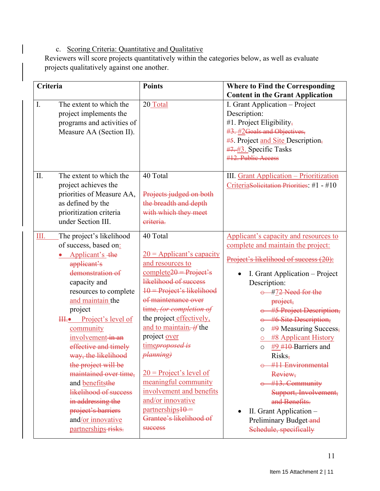# c. Scoring Criteria: Quantitative and Qualitative

Reviewers will score projects quantitatively within the categories below, as well as evaluate projects qualitatively against one another.

| Criteria                                                                                                                                                                                                                                                                                                                                                                                                 |                                                                         | <b>Points</b>                                                                                                                                                                                                                                                                                                                                                                                                                                                                            | <b>Where to Find the Corresponding</b><br><b>Content in the Grant Application</b>                                                                                                                                                                                                                                                                                                                                                                                                                                                                                                                       |
|----------------------------------------------------------------------------------------------------------------------------------------------------------------------------------------------------------------------------------------------------------------------------------------------------------------------------------------------------------------------------------------------------------|-------------------------------------------------------------------------|------------------------------------------------------------------------------------------------------------------------------------------------------------------------------------------------------------------------------------------------------------------------------------------------------------------------------------------------------------------------------------------------------------------------------------------------------------------------------------------|---------------------------------------------------------------------------------------------------------------------------------------------------------------------------------------------------------------------------------------------------------------------------------------------------------------------------------------------------------------------------------------------------------------------------------------------------------------------------------------------------------------------------------------------------------------------------------------------------------|
| The extent to which the<br>I.<br>project implements the<br>programs and activities of<br>Measure AA (Section II).                                                                                                                                                                                                                                                                                        |                                                                         | 20 Total                                                                                                                                                                                                                                                                                                                                                                                                                                                                                 | I. Grant Application - Project<br>Description:<br>$#1$ . Project Eligibility,<br>#3. #2Goals and Objectives,<br>#5. Project and Site Description,<br>#7. #3. Specific Tasks<br>#12. Public Access                                                                                                                                                                                                                                                                                                                                                                                                       |
| The extent to which the<br>II.<br>project achieves the<br>priorities of Measure AA,<br>as defined by the<br>prioritization criteria<br>under Section III.                                                                                                                                                                                                                                                |                                                                         | 40 Total<br>Projects judged on both<br>the breadth and depth<br>with which they meet<br>eriteria.                                                                                                                                                                                                                                                                                                                                                                                        | <b>III.</b> Grant Application - Prioritization<br>CriteriaSolicitation Priorities: #1 - #10                                                                                                                                                                                                                                                                                                                                                                                                                                                                                                             |
| The project's likelihood<br>Ш.<br>of success, based on:<br>Applicant's the<br>applicant's<br>demonstration of<br>capacity and<br>and maintain the<br>project<br>H. Project's level of<br>community<br>involvement-in-an-<br>effective and timely<br>way, the likelihood<br>the project will be<br>and benefitsthe<br>in addressing the<br>project's barriers<br>and/or innovative<br>partnerships-risks. | resources to complete<br>maintained over time,<br>likelihood of success | 40 Total<br>$20$ = Applicant's capacity<br>and resources to<br>$complete20 = Project's$<br>likelihood of success<br>$10$ = Project's likelihood<br>of maintenance over<br>time, (or completion of<br>the project effectively,<br>and to maintain, $\frac{df}{dt}$ the<br>project over<br>timeproposed is<br>planning)<br>$20$ = Project's level of<br>meaningful community<br>involvement and benefits<br>and/or innovative<br>$partnerships 10 =$<br>Grantee's likelihood of<br>success | Applicant's capacity and resources to<br>complete and maintain the project:<br>Project's likelihood of success (20):<br>I. Grant Application - Project<br>Description:<br>$\div$ #72 Need for the<br>project,<br>e #5 Project Description,<br>e #6 Site Description,<br>#9 Measuring Success,<br>$\circ$<br>#8 Applicant History<br>$\circlearrowright$<br>#9 #10 Barriers and<br>$\circ$<br>Risks-<br>$\leftrightarrow$ #11 Environmental<br>Review,<br>$\div$ #13. Community<br>Support, Involvement,<br>and Benefits.<br>II. Grant Application -<br>Preliminary Budget-and<br>Schedule, specifically |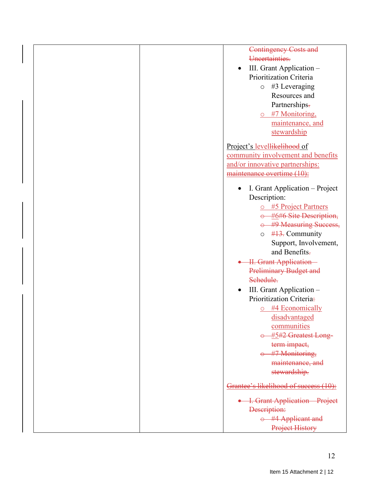|  | <b>Contingency Costs and</b>          |
|--|---------------------------------------|
|  | Uncertainties.                        |
|  | III. Grant Application -<br>$\bullet$ |
|  | Prioritization Criteria               |
|  |                                       |
|  | $\circ$ #3 Leveraging                 |
|  | Resources and                         |
|  | Partnerships-                         |
|  | o #7 Monitoring,                      |
|  | maintenance, and                      |
|  | stewardship                           |
|  | Project's levellikelihood of          |
|  | community involvement and benefits    |
|  | and/or innovative partnerships:       |
|  | maintenance overtime (10):            |
|  | I. Grant Application - Project        |
|  | Description:                          |
|  | $\circ$ #5 Project Partners           |
|  | e #6#6 Site Description,              |
|  | e #9 Measuring Success,               |
|  | #13. Community<br>$\circ$             |
|  | Support, Involvement,                 |
|  | and Benefits.                         |
|  | <b>H. Grant Application</b>           |
|  | <b>Preliminary Budget and</b>         |
|  | Sehedule.                             |
|  | III. Grant Application -              |
|  | Prioritization Criteria:              |
|  | #4 Economically<br>$\circ$            |
|  | disadvantaged                         |
|  | communities                           |
|  | e #5#2 Greatest Long-                 |
|  | term impact,                          |
|  | e #7 Monitoring,                      |
|  | maintenance, and                      |
|  | stewardship.                          |
|  | Grantee's likelihood of success (10): |
|  | • I. Grant Application Project        |
|  | Description:                          |
|  | o #4 Applicant and                    |
|  | Project History                       |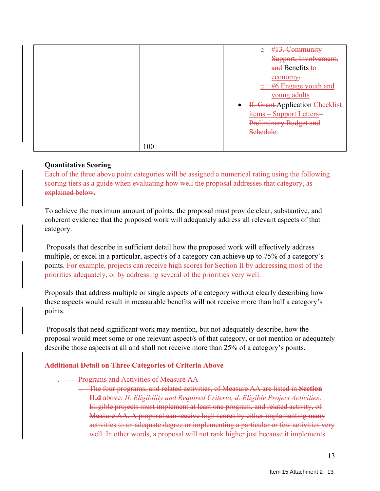|     | #13. Community<br>∩            |
|-----|--------------------------------|
|     | Support, Involvement,          |
|     | and Benefits to                |
|     | economy.                       |
|     | #6 Engage youth and<br>$\circ$ |
|     | young adults                   |
|     | H. Grant Application Checklist |
|     | items – Support Letters-       |
|     | <b>Preliminary Budget and</b>  |
|     | Sehedule.                      |
|     |                                |
| 100 |                                |

### **Quantitative Scoring**

Each of the three above point categories will be assigned a numerical rating using the following scoring tiers as a guide when evaluating how well the proposal addresses that category, as explained below.

To achieve the maximum amount of points, the proposal must provide clear, substantive, and coherent evidence that the proposed work will adequately address all relevant aspects of that category.

Proposals that describe in sufficient detail how the proposed work will effectively address multiple, or excel in a particular, aspect/s of a category can achieve up to 75% of a category's points. For example, projects can receive high scores for Section II by addressing most of the priorities adequately, or by addressing several of the priorities very well.

Proposals that address multiple or single aspects of a category without clearly describing how these aspects would result in measurable benefits will not receive more than half a category's points.

Proposals that need significant work may mention, but not adequately describe, how the proposal would meet some or one relevant aspect/s of that category, or not mention or adequately describe those aspects at all and shall not receive more than 25% of a category's points.

# **Additional Detail on Three Categories of Criteria Above**

### . Programs and Activities of Measure AA

. The four programs, and related activities, of Measure AA are listed in **Section II.d** above: *II. Eligibility and Required Criteria, d. Eligible Project Activities*. Eligible projects must implement at least one program, and related activity, of Measure AA. A proposal can receive high scores by either implementing many activities to an adequate degree or implementing a particular or few activities very well. In other words, a proposal will not rank higher just because it implements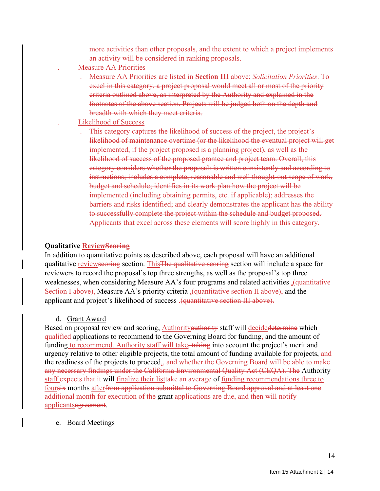more activities than other proposals, and the extent to which a project implements an activity will be considered in ranking proposals.

- . Measure AA Priorities
- . Measure AA Priorities are listed in **Section III** above: *Solicitation Priorities*. To excel in this category, a project proposal would meet all or most of the priority criteria outlined above, as interpreted by the Authority and explained in the footnotes of the above section. Projects will be judged both on the depth and breadth with which they meet criteria.
- . Likelihood of Success

. This category captures the likelihood of success of the project, the project's likelihood of maintenance overtime (or the likelihood the eventual project will get implemented, if the project proposed is a planning project), as well as the likelihood of success of the proposed grantee and project team. Overall, this category considers whether the proposal: is written consistently and according to instructions; includes a complete, reasonable and well thought-out scope of work, budget and schedule; identifies in its work plan how the project will be implemented (including obtaining permits, etc. if applicable); addresses the barriers and risks identified; and clearly demonstrates the applicant has the ability to successfully complete the project within the schedule and budget proposed. Applicants that excel across these elements will score highly in this category.

#### **Qualitative ReviewScoring**

In addition to quantitative points as described above, each proposal will have an additional qualitative reviews coring section. This The qualitative scoring section will include a space for reviewers to record the proposal's top three strengths, as well as the proposal's top three weaknesses, when considering Measure AA's four programs and related activities,  $\theta$  and the set of the set of AA's four programs and related activities. Section I above), Measure AA's priority criteria <del>(quantitative section II above),</del> and the applicant and project's likelihood of success . <del>(quantitative section III above).</del>

d. Grant Award

Based on proposal review and scoring, Authority authority staff will decided etermine which qualified applications to recommend to the Governing Board for funding, and the amount of funding to recommend. Authority staff will take, taking into account the project's merit and urgency relative to other eligible projects, the total amount of funding available for projects, and the readiness of the projects to proceed.<del>, and whether the Governing Board will be able to make</del> any necessary findings under the California Environmental Quality Act (CEQA). The Authority staff expects that it will finalize their listtake an average of funding recommendations three to foursix months afterfrom application submittal to Governing Board approval and at least one additional month for execution of the grant applications are due, and then will notify applicantsagreement.

#### e. Board Meetings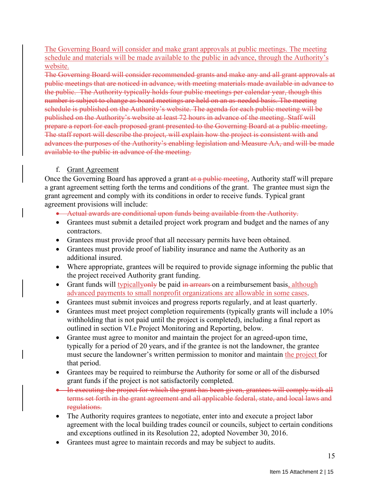The Governing Board will consider and make grant approvals at public meetings. The meeting schedule and materials will be made available to the public in advance, through the Authority's website.

The Governing Board will consider recommended grants and make any and all grant approvals at public meetings that are noticed in advance, with meeting materials made available in advance to the public. The Authority typically holds four public meetings per calendar year, though this number is subject to change as board meetings are held on an as-needed basis. The meeting schedule is published on the Authority's website. The agenda for each public meeting will be published on the Authority's website at least 72 hours in advance of the meeting. Staff will prepare a report for each proposed grant presented to the Governing Board at a public meeting. The staff report will describe the project, will explain how the project is consistent with and advances the purposes of the Authority's enabling legislation and Measure AA, and will be made available to the public in advance of the meeting.

# f. Grant Agreement

Once the Governing Board has approved a grant at a public meeting, Authority staff will prepare a grant agreement setting forth the terms and conditions of the grant. The grantee must sign the grant agreement and comply with its conditions in order to receive funds. Typical grant agreement provisions will include:

- Actual awards are conditional upon funds being available from the Authority.
- Grantees must submit a detailed project work program and budget and the names of any contractors.
- Grantees must provide proof that all necessary permits have been obtained.
- Grantees must provide proof of liability insurance and name the Authority as an additional insured.
- Where appropriate, grantees will be required to provide signage informing the public that the project received Authority grant funding.
- Grant funds will typically only be paid in arrears on a reimbursement basis, although advanced payments to small nonprofit organizations are allowable in some cases.
- Grantees must submit invoices and progress reports regularly, and at least quarterly.
- Grantees must meet project completion requirements (typically grants will include a 10% withholding that is not paid until the project is completed), including a final report as outlined in section VI.e Project Monitoring and Reporting, below.
- Grantee must agree to monitor and maintain the project for an agreed-upon time, typically for a period of 20 years, and if the grantee is not the landowner, the grantee must secure the landowner's written permission to monitor and maintain the project for that period.
- Grantees may be required to reimburse the Authority for some or all of the disbursed grant funds if the project is not satisfactorily completed.
- In executing the project for which the grant has been given, grantees will comply with all terms set forth in the grant agreement and all applicable federal, state, and local laws and regulations.
- The Authority requires grantees to negotiate, enter into and execute a project labor agreement with the local building trades council or councils, subject to certain conditions and exceptions outlined in its Resolution 22, adopted November 30, 2016.
- Grantees must agree to maintain records and may be subject to audits.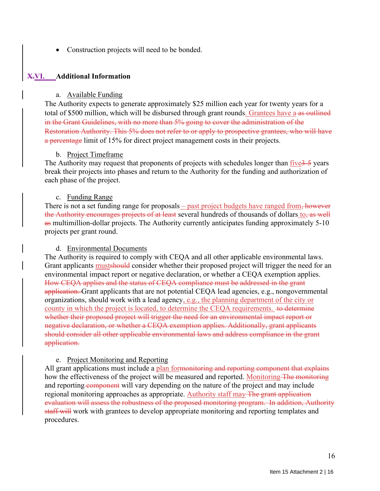• Construction projects will need to be bonded.

### **X.VI. Additional Information**

### a. Available Funding

The Authority expects to generate approximately \$25 million each year for twenty years for a total of \$500 million, which will be disbursed through grant rounds. Grantees have a as outlined in the Grant Guidelines, with no more than 5% going to cover the administration of the Restoration Authority. This 5% does not refer to or apply to prospective grantees, who will have a percentage limit of 15% for direct project management costs in their projects.

### b. Project Timeframe

The Authority may request that proponents of projects with schedules longer than five 3-5 years break their projects into phases and return to the Authority for the funding and authorization of each phase of the project.

### c. Funding Range

There is not a set funding range for proposals – past project budgets have ranged from, however the Authority encourages projects of at least several hundreds of thousands of dollars to, as well as multimillion-dollar projects. The Authority currently anticipates funding approximately 5-10 projects per grant round.

### d. Environmental Documents

The Authority is required to comply with CEQA and all other applicable environmental laws. Grant applicants must should consider whether their proposed project will trigger the need for an environmental impact report or negative declaration, or whether a CEQA exemption applies. How CEQA applies and the status of CEQA compliance must be addressed in the grant application. Grant applicants that are not potential CEQA lead agencies, e.g., nongovernmental organizations, should work with a lead agency, e.g., the planning department of the city or county in which the project is located, to determine the CEQA requirements. to determine whether their proposed project will trigger the need for an environmental impact report or negative declaration, or whether a CEQA exemption applies. Additionally, grant applicants should consider all other applicable environmental laws and address compliance in the grant application.

# e. Project Monitoring and Reporting

All grant applications must include a plan formonitoring and reporting component that explains how the effectiveness of the project will be measured and reported. Monitoring The monitoring and reporting component will vary depending on the nature of the project and may include regional monitoring approaches as appropriate. Authority staff may The grant application evaluation will assess the robustness of the proposed monitoring program. In addition, Authority staff will work with grantees to develop appropriate monitoring and reporting templates and procedures.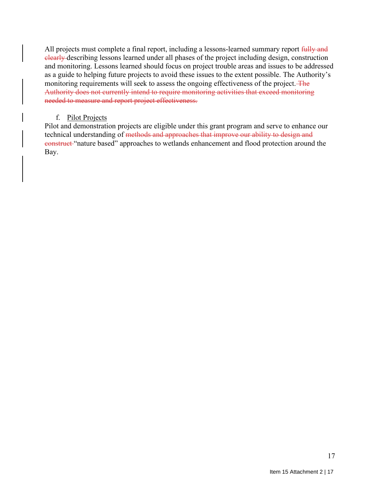All projects must complete a final report, including a lessons-learned summary report fully and elearly describing lessons learned under all phases of the project including design, construction and monitoring. Lessons learned should focus on project trouble areas and issues to be addressed as a guide to helping future projects to avoid these issues to the extent possible. The Authority's monitoring requirements will seek to assess the ongoing effectiveness of the project. The Authority does not currently intend to require monitoring activities that exceed monitoring needed to measure and report project effectiveness.

### f. Pilot Projects

Pilot and demonstration projects are eligible under this grant program and serve to enhance our technical understanding of methods and approaches that improve our ability to design and construct "nature based" approaches to wetlands enhancement and flood protection around the Bay.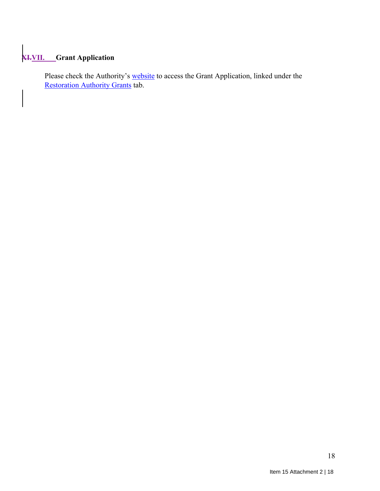# **XI.VII. Grant Application**

Please check the Authority's [website](http://www.sfbayrestore.org/) to access the Grant Application, linked under the [Restoration Authority Grants](http://www.sfbayrestore.org/restoration-authority-grants) tab.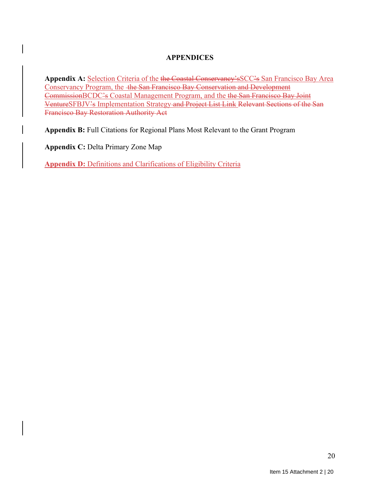# **APPENDICES**

Appendix A: Selection Criteria of the the Coastal Conservancy's SCC's San Francisco Bay Area Conservancy Program, the the San Francisco Bay Conservation and Development CommissionBCDC's Coastal Management Program, and the the San Francisco Bay Joint VentureSFBJV's Implementation Strategy and Project List Link Relevant Sections of the San Francisco Bay Restoration Authority Act

**Appendix B:** Full Citations for Regional Plans Most Relevant to the Grant Program

**Appendix C:** Delta Primary Zone Map

**Appendix D:** Definitions and Clarifications of Eligibility Criteria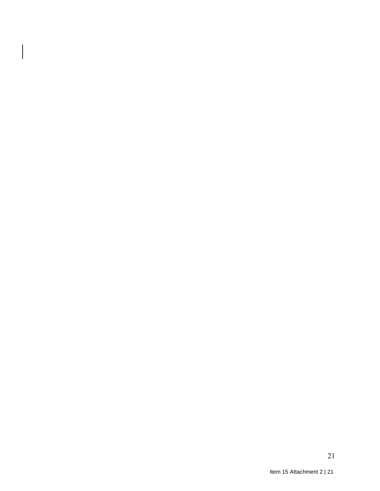$\overline{1}$  $\overline{\phantom{a}}$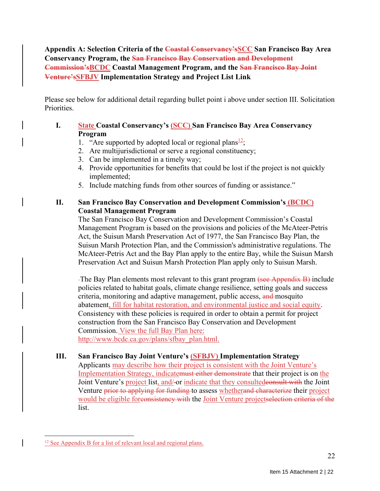**Appendix A: Selection Criteria of the Coastal Conservancy'sSCC San Francisco Bay Area Conservancy Program, the San Francisco Bay Conservation and Development Commission'sBCDC Coastal Management Program, and the San Francisco Bay Joint Venture'sSFBJV Implementation Strategy and Project List Link** 

Please see below for additional detail regarding bullet point i above under section III. Solicitation Priorities.

### **I. State Coastal Conservancy's (SCC) San Francisco Bay Area Conservancy Program**

- 1. "Are supported by adopted local or regional plans<sup>12</sup>;
- 2. Are multijurisdictional or serve a regional constituency;
- 3. Can be implemented in a timely way;
- 4. Provide opportunities for benefits that could be lost if the project is not quickly implemented;
- 5. Include matching funds from other sources of funding or assistance."

# **II. San Francisco Bay Conservation and Development Commission's (BCDC) Coastal Management Program**

The San Francisco Bay Conservation and Development Commission's Coastal Management Program is based on the provisions and policies of the McAteer-Petris Act, the Suisun Marsh Preservation Act of 1977, the San Francisco Bay Plan, the Suisun Marsh Protection Plan, and the Commission's administrative regulations. The McAteer-Petris Act and the Bay Plan apply to the entire Bay, while the Suisun Marsh Preservation Act and Suisun Marsh Protection Plan apply only to Suisun Marsh.

The Bay Plan elements most relevant to this grant program (see Appendix B)-include policies related to habitat goals, climate change resilience, setting goals and success criteria, monitoring and adaptive management, public access, and mosquito abatement, fill for habitat restoration, and environmental justice and social equity. Consistency with these policies is required in order to obtain a permit for project construction from the San Francisco Bay Conservation and Development Commission. View the full Bay Plan here: [http://www.bcdc.ca.gov/plans/sfbay\\_plan.html.](http://www.bcdc.ca.gov/plans/sfbay_plan.html)

### **III. San Francisco Bay Joint Venture's (SFBJV) Implementation Strategy**

Applicants may describe how their project is consistent with the Joint Venture's Implementation Strategy, indicatemust either demonstrate that their project is on the Joint Venture's project list, and/-or indicate that they consultedeonsult with the Joint Venture prior to applying for funding to assess whetherand characterize their project would be eligible foreonsistency with the Joint Venture projects election criteria of the list.

 $12$  See Appendix B for a list of relevant local and regional plans.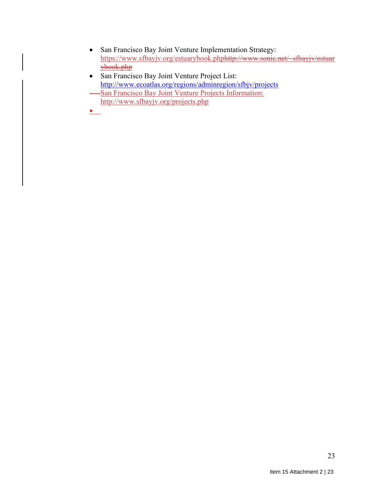- San Francisco Bay Joint Venture Implementation Strategy: [https://www.sfbayjv.org/estuarybook.phph](https://www.sfbayjv.org/estuarybook.php)ttp://www.sonic.net/~sfbayjv/estuar ybook.php
- San Francisco Bay Joint Venture Project List: <http://www.ecoatlas.org/regions/adminregion/sfbjv/projects> San Francisco Bay Joint Venture Projects Information: <http://www.sfbayjv.org/projects.php>
- •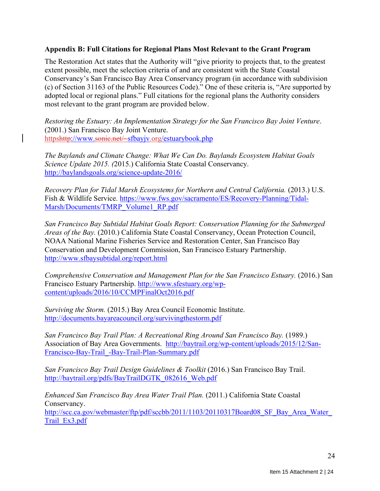### **Appendix B: Full Citations for Regional Plans Most Relevant to the Grant Program**

The Restoration Act states that the Authority will "give priority to projects that, to the greatest extent possible, meet the selection criteria of and are consistent with the State Coastal Conservancy's San Francisco Bay Area Conservancy program (in accordance with subdivision (c) of Section 31163 of the Public Resources Code)." One of these criteria is, "Are supported by adopted local or regional plans." Full citations for the regional plans the Authority considers most relevant to the grant program are provided below.

*Restoring the Estuary: An Implementation Strategy for the San Francisco Bay Joint Venture*. (2001.) San Francisco Bay Joint Venture. [httpshttp://www.sonic.net/~sfbayjv.org/estuarybook.php](https://www.sfbayjv.org/estuarybook.php)

*The Baylands and Climate Change: What We Can Do. Baylands Ecosystem Habitat Goals Science Update 2015. (*2015.) California State Coastal Conservancy. <http://baylandsgoals.org/science-update-2016/>

*Recovery Plan for Tidal Marsh Ecosystems for Northern and Central California.* (2013.) U.S. Fish & Wildlife Service. [https://www.fws.gov/sacramento/ES/Recovery-Planning/Tidal-](https://www.fws.gov/sacramento/ES/Recovery-Planning/Tidal-Marsh/Documents/TMRP_Volume1_RP.pdf)[Marsh/Documents/TMRP\\_Volume1\\_RP.pdf](https://www.fws.gov/sacramento/ES/Recovery-Planning/Tidal-Marsh/Documents/TMRP_Volume1_RP.pdf)

*San Francisco Bay Subtidal Habitat Goals Report: Conservation Planning for the Submerged Areas of the Bay.* (2010.) California State Coastal Conservancy, Ocean Protection Council, NOAA National Marine Fisheries Service and Restoration Center, San Francisco Bay Conservation and Development Commission, San Francisco Estuary Partnership. <http://www.sfbaysubtidal.org/report.html>

*Comprehensive Conservation and Management Plan for the San Francisco Estuary.* (2016.) San Francisco Estuary Partnership. [http://www.sfestuary.org/wp](http://www.sfestuary.org/wp-content/uploads/2016/10/CCMPFinalOct2016.pdf)[content/uploads/2016/10/CCMPFinalOct2016.pdf](http://www.sfestuary.org/wp-content/uploads/2016/10/CCMPFinalOct2016.pdf)

*Surviving the Storm.* (2015.) Bay Area Council Economic Institute. <http://documents.bayareacouncil.org/survivingthestorm.pdf>

*San Francisco Bay Trail Plan: A Recreational Ring Around San Francisco Bay.* (1989.) Association of Bay Area Governments. [http://baytrail.org/wp-content/uploads/2015/12/San-](http://baytrail.org/wp-content/uploads/2015/12/San-Francisco-Bay-Trail_-Bay-Trail-Plan-Summary.pdf)[Francisco-Bay-Trail\\_-Bay-Trail-Plan-Summary.pdf](http://baytrail.org/wp-content/uploads/2015/12/San-Francisco-Bay-Trail_-Bay-Trail-Plan-Summary.pdf)

*San Francisco Bay Trail Design Guidelines & Toolkit* (2016.) San Francisco Bay Trail. [http://baytrail.org/pdfs/BayTrailDGTK\\_082616\\_Web.pdf](http://baytrail.org/pdfs/BayTrailDGTK_082616_Web.pdf)

*Enhanced San Francisco Bay Area Water Trail Plan.* (2011.) California State Coastal Conservancy.

http://scc.ca.gov/webmaster/ftp/pdf/sccbb/2011/1103/20110317Board08 SF Bay Area Water [Trail\\_Ex3.pdf](http://scc.ca.gov/webmaster/ftp/pdf/sccbb/2011/1103/20110317Board08_SF_Bay_Area_Water_Trail_Ex3.pdf)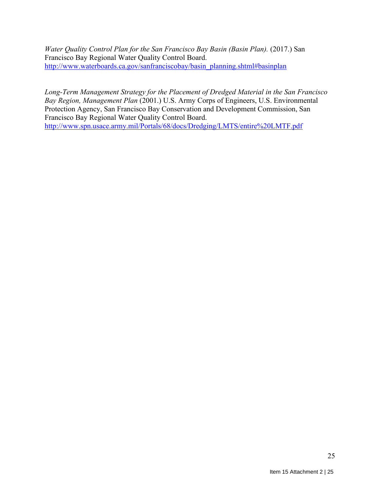*Water Quality Control Plan for the San Francisco Bay Basin (Basin Plan).* (2017.) San Francisco Bay Regional Water Quality Control Board. [http://www.waterboards.ca.gov/sanfranciscobay/basin\\_planning.shtml#basinplan](http://www.waterboards.ca.gov/sanfranciscobay/basin_planning.shtml#basinplan)

*Long-Term Management Strategy for the Placement of Dredged Material in the San Francisco Bay Region, Management Plan* (2001.) U.S. Army Corps of Engineers, U.S. Environmental Protection Agency, San Francisco Bay Conservation and Development Commission, San Francisco Bay Regional Water Quality Control Board. <http://www.spn.usace.army.mil/Portals/68/docs/Dredging/LMTS/entire%20LMTF.pdf>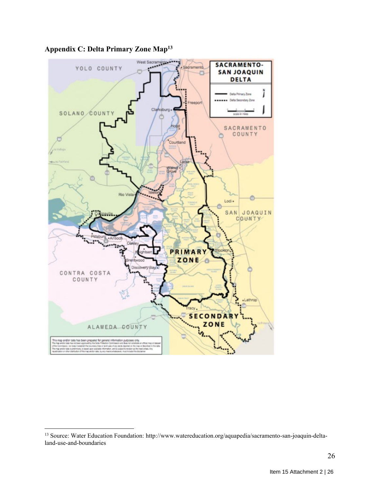

**Appendix C: Delta Primary Zone Map<sup>13</sup>**

<sup>13</sup> Source: Water Education Foundation: http://www.watereducation.org/aquapedia/sacramento-san-joaquin-deltaland-use-and-boundaries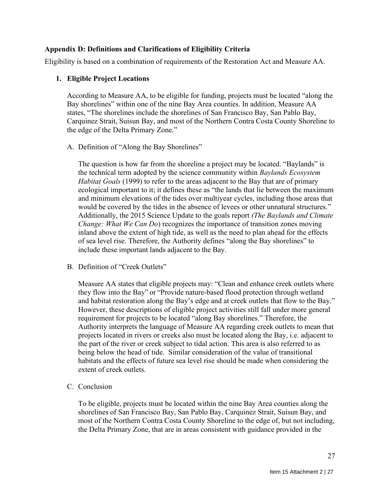# **Appendix D: Definitions and Clarifications of Eligibility Criteria**

Eligibility is based on a combination of requirements of the Restoration Act and Measure AA.

### **1. Eligible Project Locations**

According to Measure AA, to be eligible for funding, projects must be located "along the Bay shorelines" within one of the nine Bay Area counties. In addition, Measure AA states, "The shorelines include the shorelines of San Francisco Bay, San Pablo Bay, Carquinez Strait, Suisun Bay, and most of the Northern Contra Costa County Shoreline to the edge of the Delta Primary Zone."

A. Definition of "Along the Bay Shorelines"

The question is how far from the shoreline a project may be located. "Baylands" is the technical term adopted by the science community within *Baylands Ecosystem Habitat Goals* (1999) to refer to the areas adjacent to the Bay that are of primary ecological important to it; it defines these as "the lands that lie between the maximum and minimum elevations of the tides over multiyear cycles, including those areas that would be covered by the tides in the absence of levees or other unnatural structures." Additionally, the 2015 Science Update to the goals report *(The Baylands and Climate Change: What We Can Do*) recognizes the importance of transition zones moving inland above the extent of high tide, as well as the need to plan ahead for the effects of sea level rise. Therefore, the Authority defines "along the Bay shorelines" to include these important lands adjacent to the Bay.

B. Definition of "Creek Outlets"

Measure AA states that eligible projects may: "Clean and enhance creek outlets where they flow into the Bay" or "Provide nature-based flood protection through wetland and habitat restoration along the Bay's edge and at creek outlets that flow to the Bay." However, these descriptions of eligible project activities still fall under more general requirement for projects to be located "along Bay shorelines." Therefore, the Authority interprets the language of Measure AA regarding creek outlets to mean that projects located in rivers or creeks also must be located along the Bay, i.e. adjacent to the part of the river or creek subject to tidal action. This area is also referred to as being below the head of tide. Similar consideration of the value of transitional habitats and the effects of future sea level rise should be made when considering the extent of creek outlets.

C. Conclusion

To be eligible, projects must be located within the nine Bay Area counties along the shorelines of San Francisco Bay, San Pablo Bay, Carquinez Strait, Suisun Bay, and most of the Northern Contra Costa County Shoreline to the edge of, but not including, the Delta Primary Zone, that are in areas consistent with guidance provided in the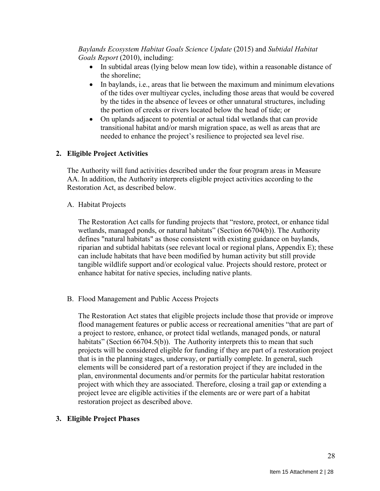# *Baylands Ecosystem Habitat Goals Science Update* (2015) and *Subtidal Habitat Goals Report* (2010), including:

- In subtidal areas (lying below mean low tide), within a reasonable distance of the shoreline;
- In baylands, i.e., areas that lie between the maximum and minimum elevations of the tides over multiyear cycles, including those areas that would be covered by the tides in the absence of levees or other unnatural structures, including the portion of creeks or rivers located below the head of tide; or
- On uplands adjacent to potential or actual tidal wetlands that can provide transitional habitat and/or marsh migration space, as well as areas that are needed to enhance the project's resilience to projected sea level rise.

# **2. Eligible Project Activities**

The Authority will fund activities described under the four program areas in Measure AA. In addition, the Authority interprets eligible project activities according to the Restoration Act, as described below.

A. Habitat Projects

The Restoration Act calls for funding projects that "restore, protect, or enhance tidal wetlands, managed ponds, or natural habitats" (Section 66704(b)). The Authority defines "natural habitats" as those consistent with existing guidance on baylands, riparian and subtidal habitats (see relevant local or regional plans, Appendix E); these can include habitats that have been modified by human activity but still provide tangible wildlife support and/or ecological value. Projects should restore, protect or enhance habitat for native species, including native plants.

B. Flood Management and Public Access Projects

The Restoration Act states that eligible projects include those that provide or improve flood management features or public access or recreational amenities "that are part of a project to restore, enhance, or protect tidal wetlands, managed ponds, or natural habitats" (Section 66704.5(b)). The Authority interprets this to mean that such projects will be considered eligible for funding if they are part of a restoration project that is in the planning stages, underway, or partially complete. In general, such elements will be considered part of a restoration project if they are included in the plan, environmental documents and/or permits for the particular habitat restoration project with which they are associated. Therefore, closing a trail gap or extending a project levee are eligible activities if the elements are or were part of a habitat restoration project as described above.

# **3. Eligible Project Phases**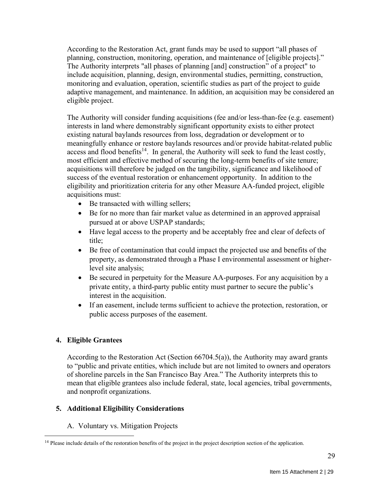According to the Restoration Act, grant funds may be used to support "all phases of planning, construction, monitoring, operation, and maintenance of [eligible projects]." The Authority interprets "all phases of planning [and] construction" of a project" to include acquisition, planning, design, environmental studies, permitting, construction, monitoring and evaluation, operation, scientific studies as part of the project to guide adaptive management, and maintenance. In addition, an acquisition may be considered an eligible project.

The Authority will consider funding acquisitions (fee and/or less-than-fee (e.g. easement) interests in land where demonstrably significant opportunity exists to either protect existing natural baylands resources from loss, degradation or development or to meaningfully enhance or restore baylands resources and/or provide habitat-related public access and flood benefits<sup>14</sup>. In general, the Authority will seek to fund the least costly, most efficient and effective method of securing the long-term benefits of site tenure; acquisitions will therefore be judged on the tangibility, significance and likelihood of success of the eventual restoration or enhancement opportunity. In addition to the eligibility and prioritization criteria for any other Measure AA-funded project, eligible acquisitions must:

- Be transacted with willing sellers;
- Be for no more than fair market value as determined in an approved appraisal pursued at or above USPAP standards;
- Have legal access to the property and be acceptably free and clear of defects of title;
- Be free of contamination that could impact the projected use and benefits of the property, as demonstrated through a Phase I environmental assessment or higherlevel site analysis;
- Be secured in perpetuity for the Measure AA-purposes. For any acquisition by a private entity, a third-party public entity must partner to secure the public's interest in the acquisition.
- If an easement, include terms sufficient to achieve the protection, restoration, or public access purposes of the easement.

# **4. Eligible Grantees**

According to the Restoration Act (Section 66704.5(a)), the Authority may award grants to "public and private entities, which include but are not limited to owners and operators of shoreline parcels in the San Francisco Bay Area." The Authority interprets this to mean that eligible grantees also include federal, state, local agencies, tribal governments, and nonprofit organizations.

# **5. Additional Eligibility Considerations**

A. Voluntary vs. Mitigation Projects

<sup>&</sup>lt;sup>14</sup> Please include details of the restoration benefits of the project in the project description section of the application.